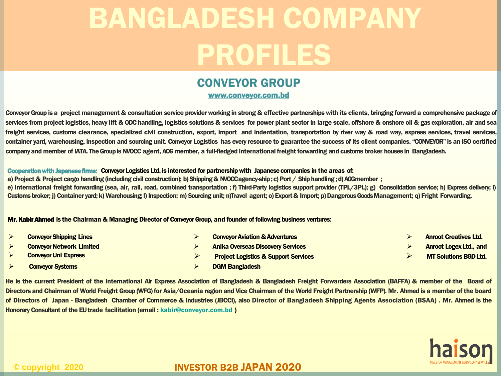# CONVEYOR GROUP

www.conveyor.com.bd

Conveyor Group is a project management & consultation service provider working in strong & effective partnerships with its clients, bringing forward a comprehensive package of services from project logistics, heavy lift & ODC handling, logistics solutions & services for power plant sector in large scale, offshore & onshore oil & gas exploration, air and sea freight services, customs clearance, specialized civil construction, export, import and indentation, transportation by river way & road way, express services, travel services, container yard, warehousing, inspection and sourcing unit. Conveyor Logistics has every resource to guarantee the success of its client companies. "CONVEYOR" is an ISO certified company and member of IATA. The Group is NVOCC agent, AOG member, a full-fledged international freight forwarding and customs broker houses in Bangladesh.

#### Cooperation with Japanese firms: Conveyor Logistics Ltd. is interested for partnership with Japanese companies in the areas of:

a) Project & Project cargo handling (including civil construction); b)Shipping& NVOCCagency-ship;c) Port / Shiphandling ;d)AOGmember ; e) International freight forwarding (sea, air, rail, road, combined transportation; f) Third-Party logistics support provider (TPL/3PL); g) Consolidation service; h) Express delivery; i) Customs broker; j) Container yard; k) Warehousing; I) Inspection; m) Sourcing unit; n)Travel agent; o) Export & Import; p) Dangerous Goods Management; q) Fright Forwarding.

#### Mr. KabirAhmed is the Chairman & Managing Director of Conveyor Group, and founder of following business ventures**:**

| <b>Conveyor Shipping Lines</b>  | <b>Conveyor Aviation &amp; Adventures</b>       | <b>Anroot Creatives Ltd.</b>  |
|---------------------------------|-------------------------------------------------|-------------------------------|
| <b>Conveyor Network Limited</b> | <b>Anika Overseas Discovery Services</b>        | <b>Anroot Logex Ltd., and</b> |
| <b>Conveyor Uni Express</b>     | <b>Project Logistics &amp; Support Services</b> | <b>MT Solutions BGD Ltd.</b>  |
| <b>Conveyor Systems</b>         | <b>DGM Bangladesh</b>                           |                               |

He is the current President of the International Air Express Association of Bangladesh & Bangladesh Freight Forwarders Association (BAFFA) & member of the Board of Directors and Chairman of World Freight Group (WFG) for Asia/Oceania region and Vice Chairman of the World Freight Partnership (WFP). Mr. Ahmed is a member of the board of Directors of Japan - Bangladesh Chamber of Commerce & Industries (JBCCI), also Director of Bangladesh Shipping Agents Association (BSAA) . Mr. Ahmed is the Honorary Consultant of the EU trade facilitation (email: [kabir@conveyor.com.bd](mailto:kabir@conveyor.com.bd))

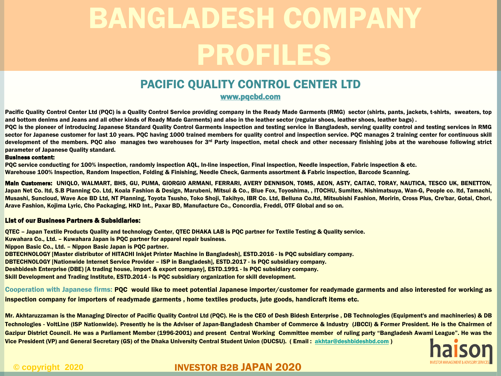# PACIFIC QUALITY CONTROL CENTER LTD

www.pqcbd.com

Pacific Quality Control Center Ltd (PQC) is a Quality Control Service providing company in the Ready Made Garments (RMG) sector (shirts, pants, jackets, t-shirts, sweaters, top and bottom denims and Jeans and all other kinds of Ready Made Garments) and also in the leather sector (regular shoes, leather shoes, leather bags) .

PQC is the pioneer of introducing Japanese Standard Quality Control Garments inspection and testing service in Bangladesh, serving quality control and testing services in RMG sector for Japanese customer for last 10 years. PQC having 1000 trained members for quality control and inspection service. PQC manages 2 training center for continuous skill development of the members. PQC also manages two warehouses for 3<sup>rd</sup> Party inspection, metal check and other necessary finishing jobs at the warehouse following strict parameter of Japanese Quality standard.

#### Business content:

PQC service conducting for 100% inspection, randomly inspection AQL, In-line inspection, Final inspection, Needle inspection, Fabric inspection & etc. Warehouse 100% Inspection, Random Inspection, Folding & Finishing, Needle Check, Garments assortment & Fabric inspection, Barcode Scanning.

Main Customers: UNIQLO, WALMART, BHS, GU, PUMA, GIORGIO ARMANI, FERRARI, AVERY DENNISON, TOMS, AEON, ASTY, CAITAC, TORAY, NAUTICA, TESCO UK, BENETTON, Japan Net Co. Itd, S.B Planning Co. Ltd, Koala Fashion & Design, Marubeni, Mitsui & Co., Blue Fox, Toyoshima,, ITOCHU, Sumitex, Nishimatsuya, Wan-G, People co. Itd, Tamachi, Musashi, Suncloud, Wave Ace BD Ltd, NT Planning, Toyota Tsusho, Toko Shoji, Takihyo, IBR Co. Ltd, Belluna Co.ltd, Mitsubishi Fashion, Moririn, Cross Plus, Cre'bar, Gotai, Chori, Arave Fashion, Kojima Lyric, Cho Packaging, HKD Int., Paxar BD, Manufacture Co., Concordia, Freddi, OTF Global and so on.

#### List of our Business Partners & Subsidiaries:

QTEC – Japan Textile Products Quality and technology Center, QTEC DHAKA LAB is PQC partner for Textile Testing & Quality service. Kuwahara Co., Ltd. – Kuwahara Japan is PQC partner for apparel repair business. Nippon Basic Co., Ltd. – Nippon Basic Japan is PQC partner. DBTECHNOLOGY [Master distributor of HITACHI Inkjet Printer Machine in Bangladesh], ESTD.2016 - Is PQC subsidiary company. DBTECHNOLOGY [Nationwide Internet Service Provider – ISP in Bangladesh], ESTD.2017 - Is PQC subsidiary company. Deshbidesh Enterprise (DBE) [A trading house, import & export company], ESTD.1991 - Is PQC subsidiary company. Skill Development and Trading Institute, ESTD.2014 - Is PQC subsidiary organization for skill development.

Cooperation with Japanese firms: PQC would like to meet potential Japanese importer/customer for readymade garments and also interested for working as inspection company for importers of readymade garments , home textiles products, jute goods, handicraft items etc.

Mr. Akhtaruzzaman is the Managing Director of Pacific Quality Control Ltd (PQC). He is the CEO of Desh Bidesh Enterprise , DB Technologies (Equipment's and machineries) & DB Technologies - VoltLine (ISP Nationwide). Presently he is the Adviser of Japan-Bangladesh Chamber of Commerce & Industry (JBCCI) & Former President. He is the Chairmen of Gazipur District Council. He was a Parliament Member (1996-2001) and present Central Working Committee member of ruling party "Bangladesh Awami League". He was the Vice President (VP) and General Secretary (GS) of the Dhaka University Central Student Union (DUCSU). (Email: [akhtar@deshbideshbd.com](mailto:akhtar@deshbideshbd.com))

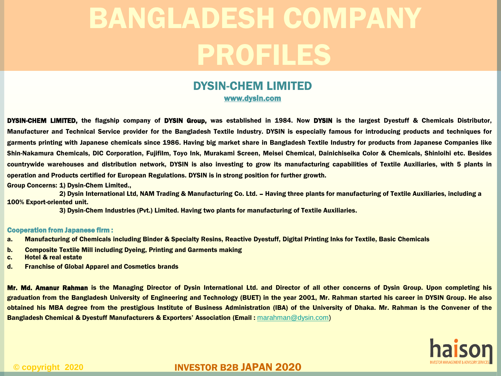## DYSIN-CHEM LIMITED www.dysin.com

DYSIN-CHEM LIMITED, the flagship company of DYSIN Group, was established in 1984. Now DYSIN is the largest Dyestuff & Chemicals Distributor, Manufacturer and Technical Service provider for the Bangladesh Textile Industry. DYSIN is especially famous for introducing products and techniques for garments printing with Japanese chemicals since 1986. Having big market share in Bangladesh Textile Industry for products from Japanese Companies like Shin-Nakamura Chemicals, DIC Corporation, Fujifilm, Toyo Ink, Murakami Screen, Meisei Chemical, Dainichiseika Color & Chemicals, Shinloihi etc. Besides countrywide warehouses and distribution network, DYSIN is also investing to grow its manufacturing capabilities of Textile Auxiliaries, with 5 plants in operation and Products certified for European Regulations. DYSIN is in strong position for further growth.

Group Concerns: 1) Dysin-Chem Limited.,

2) Dysin International Ltd, NAM Trading & Manufacturing Co. Ltd. – Having three plants for manufacturing of Textile Auxiliaries, including a 100% Export-oriented unit.

3) Dysin-Chem Industries (Pvt.) Limited. Having two plants for manufacturing of Textile Auxiliaries.

#### Cooperation from Japanese firm :

- a. Manufacturing of Chemicals including Binder & Specialty Resins, Reactive Dyestuff, Digital Printing Inks for Textile, Basic Chemicals
- b. Composite Textile Mill including Dyeing, Printing and Garments making
- c. Hotel & real estate
- d. Franchise of Global Apparel and Cosmetics brands

Mr. Md. Amanur Rahman is the Managing Director of Dysin International Ltd. and Director of all other concerns of Dysin Group. Upon completing his graduation from the Bangladesh University of Engineering and Technology (BUET) in the year 2001, Mr. Rahman started his career in DYSIN Group. He also obtained his MBA degree from the prestigious Institute of Business Administration (IBA) of the University of Dhaka. Mr. Rahman is the Convener of the Bangladesh Chemical & Dyestuff Manufacturers & Exporters' Association (Email : [marahman@dysin.com\)](mailto:marahman@dysin.com)

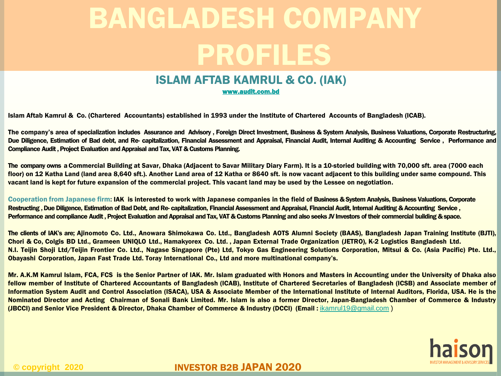# ISLAM AFTAB KAMRUL & CO. (IAK)

[www.audit.com.bd](http://www.audit.com.bd/)

Islam Aftab Kamrul & Co. (Chartered Accountants) established in 1993 under the Institute of Chartered Accounts of Bangladesh (ICAB).

The company's area of specialization includes Assurance and Advisory , Foreign Direct Investment, Business & System Analysis, Business Valuations, Corporate Restructuring, Due Diligence, Estimation of Bad debt, and Re- capitalization, Financial Assessment and Appraisal, Financial Audit, Internal Auditing & Accounting Service, Performance and Compliance Audit, Project Evaluation and Appraisal and Tax, VAT & Customs Planning.

The company owns a Commercial Building at Savar, Dhaka (Adjacent to Savar Military Diary Farm). It is a 10-storied building with 70,000 sft. area (7000 each floor) on 12 Katha Land (land area 8,640 sft.). Another Land area of 12 Katha or 8640 sft. is now vacant adjacent to this building under same compound. This vacant land is kept for future expansion of the commercial project. This vacant land may be used by the Lessee on negotiation.

Cooperation from Japanese firm: IAK is interested to work with Japanese companies in the field of Business & System Analysis, Business Valuations, Corporate Restructing, Due Diligence, Estimation of Bad Debt, and Re-capitalization, Financial Assessment and Appraisal, Financial Audit, Internal Auditing & Accounting Service, Performance and compliance Audit, Project Evaluation and Appraisal and Tax, VAT & Customs Planning and also seeks JV Investors of their commercial building & space.

The clients of IAK's are; Ajinomoto Co. Ltd., Anowara Shimokawa Co. Ltd., Bangladesh AOTS Alumni Society (BAAS), Bangladesh Japan Training Institute (BJTI), Chori & Co, Colgis BD Ltd., Grameen UNIQLO Ltd., Hamakyorex Co. Ltd. , Japan External Trade Organization (JETRO), K-2 Logistics Bangladesh Ltd. N.I. Teijin Shoji Ltd/Teijin Frontier Co. Ltd., Nagase Singapore (Pte) Ltd, Tokyo Gas Engineering Solutions Corporation, Mitsui & Co. (Asia Pacific) Pte. Ltd., Obayashi Corporation, Japan Fast Trade Ltd. Toray International Co., Ltd and more multinational company's.

Mr. A.K.M Kamrul Islam, FCA, FCS is the Senior Partner of IAK. Mr. Islam graduated with Honors and Masters in Accounting under the University of Dhaka also fellow member of Institute of Chartered Accountants of Bangladesh (ICAB), Institute of Chartered Secretaries of Bangladesh (ICSB) and Associate member of Information System Audit and Control Association (ISACA), USA & Associate Member of the International Institute of Internal Auditors, Florida, USA. He is the Nominated Director and Acting Chairman of Sonali Bank Limited. Mr. Islam is also a former Director, Japan-Bangladesh Chamber of Commerce & Industry (JBCCI) and Senior Vice President & Director, Dhaka Chamber of Commerce & Industry (DCCI) (Email : [ikamrul19@gmail.com](mailto:ikamrul19@gmail.com) )

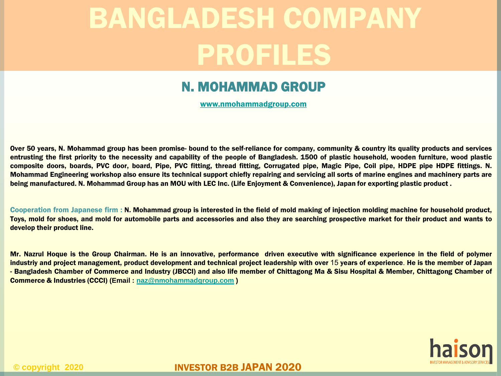# N. MOHAMMAD GROUP

[www.nmohammadgroup.com](http://www.nmohammadgroup.com/)

Over 50 years, N. Mohammad group has been promise- bound to the self-reliance for company, community & country its quality products and services entrusting the first priority to the necessity and capability of the people of Bangladesh. 1500 of plastic household, wooden furniture, wood plastic composite doors, boards, PVC door, board, Pipe, PVC fitting, thread fitting, Corrugated pipe, Magic Pipe, Coil pipe, HDPE pipe HDPE fittings. N. Mohammad Engineering workshop also ensure its technical support chiefly repairing and servicing all sorts of marine engines and machinery parts are being manufactured. N. Mohammad Group has an MOU with LEC Inc. (Life Enjoyment & Convenience), Japan for exporting plastic product .

Cooperation from Japanese firm : N. Mohammad group is interested in the field of mold making of injection molding machine for household product, Toys, mold for shoes, and mold for automobile parts and accessories and also they are searching prospective market for their product and wants to develop their product line.

Mr. Nazrul Hoque is the Group Chairman. He is an innovative, performance driven executive with significance experience in the field of polymer industriy and project management, product development and technical project leadership with over 15 years of experience. He is the member of Japan - Bangladesh Chamber of Commerce and Industry (JBCCI) and also life member of Chittagong Ma & Sisu Hospital & Member, Chittagong Chamber of Commerce & Industries (CCCI) **(Email : [naz@nmohammadgroup.com](mailto:naz@nmohammadgroup.com) )**

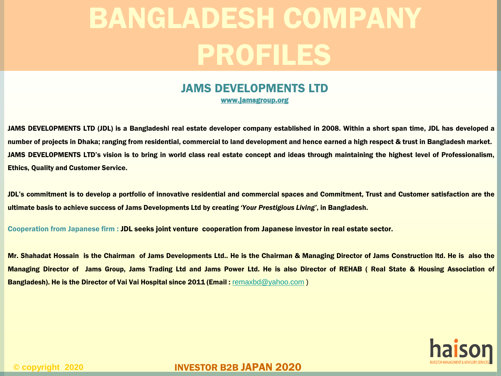### JAMS DEVELOPMENTS LTD www.jamsgroup.org

JAMS DEVELOPMENTS LTD (JDL) is a Bangladeshi real estate developer company established in 2008. Within a short span time, JDL has developed a number of projects in Dhaka; ranging from residential, commercial to land development and hence earned a high respect & trust in Bangladesh market. JAMS DEVELOPMENTS LTD's vision is to bring in world class real estate concept and ideas through maintaining the highest level of Professionalism, Ethics, Quality and Customer Service.

JDL's commitment is to develop a portfolio of innovative residential and commercial spaces and Commitment, Trust and Customer satisfaction are the ultimate basis to achieve success of Jams Developments Ltd by creating *'Your Prestigious Living'*, in Bangladesh.

Cooperation from Japanese firm : JDL seeks joint venture cooperation from Japanese investor in real estate sector.

Mr. Shahadat Hossain is the Chairman of Jams Developments Ltd.. He is the Chairman & Managing Director of Jams Construction ltd. He is also the Managing Director of Jams Group, Jams Trading Ltd and Jams Power Ltd. He is also Director of REHAB ( Real State & Housing Association of Bangladesh). He is the Director of Vai Vai Hospital since 2011 (Email : [remaxbd@yahoo.com](mailto:remaxbd@yahoo.com))

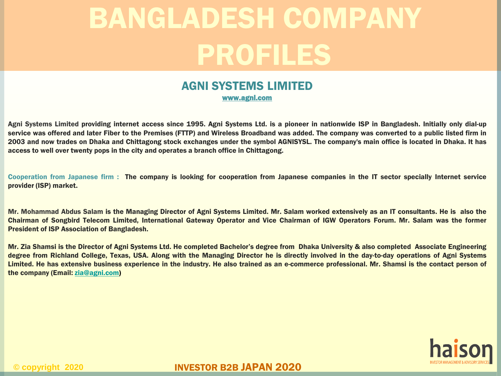## AGNI SYSTEMS LIMITED www.agni.com

Agni Systems Limited providing internet access since 1995. Agni Systems Ltd. is a pioneer in nationwide ISP in Bangladesh. Initially only dial-up service was offered and later Fiber to the Premises (FTTP) and Wireless Broadband was added. The company was converted to a public listed firm in 2003 and now trades on Dhaka and Chittagong stock exchanges under the symbol AGNISYSL. The company's main office is located in Dhaka. It has access to well over twenty pops in the city and operates a branch office in Chittagong.

Cooperation from Japanese firm : The company is looking for cooperation from Japanese companies in the IT sector specially Internet service provider (ISP) market.

Mr. Mohammad Abdus Salam is the Managing Director of Agni Systems Limited. Mr. Salam worked extensively as an IT consultants. He is also the Chairman of Songbird Telecom Limited, International Gateway Operator and Vice Chairman of IGW Operators Forum. Mr. Salam was the former President of ISP Association of Bangladesh.

Mr. Zia Shamsi is the Director of Agni Systems Ltd. He completed Bachelor's degree from Dhaka University & also completed Associate Engineering degree from Richland College, Texas, USA. Along with the Managing Director he is directly involved in the day-to-day operations of Agni Systems Limited. He has extensive business experience in the industry. He also trained as an e-commerce professional. Mr. Shamsi is the contact person of the company (Email: [zia@agni.com\)](mailto:zia@agni.com)

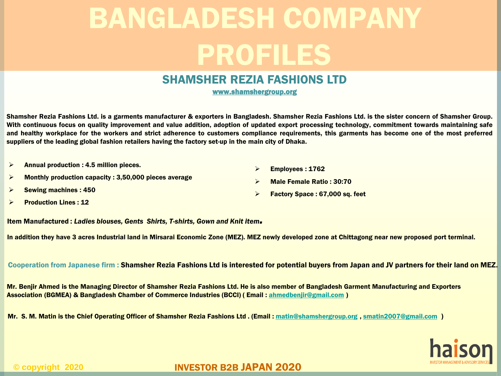### SHAMSHER REZIA FASHIONS LTD

www.shamshergroup.org

Shamsher Rezia Fashions Ltd. is a garments manufacturer & exporters in Bangladesh. Shamsher Rezia Fashions Ltd. is the sister concern of Shamsher Group. With continuous focus on quality improvement and value addition, adoption of updated export processing technology, commitment towards maintaining safe and healthy workplace for the workers and strict adherence to customers compliance requirements, this garments has become one of the most preferred suppliers of the leading global fashion retailers having the factory set-up in the main city of Dhaka.

- $\triangleright$  Annual production : 4.5 million pieces.
- $\triangleright$  Monthly production capacity : 3,50,000 pieces average
- $\triangleright$  Employees : 1762
- Male Female Ratio : 30:70

 $\triangleright$  Factory Space : 67,000 sq. feet

- $\triangleright$  Sewing machines : 450
- $\triangleright$  Production Lines : 12

Item Manufactured : *Ladies blouses, Gents Shirts, T-shirts, Gown and Knit item.*

In addition they have 3 acres Industrial land in Mirsarai Economic Zone (MEZ). MEZ newly developed zone at Chittagong near new proposed port terminal.

Cooperation from Japanese firm : Shamsher Rezia Fashions Ltd is interested for potential buyers from Japan and JV partners for their land on MEZ.

Mr. Benjir Ahmed is the Managing Director of Shamsher Rezia Fashions Ltd. He is also member of Bangladesh Garment Manufacturing and Exporters Association (BGMEA) & Bangladesh Chamber of Commerce Industries (BCCI) ( Email : [ahmedbenjir@gmail.com](mailto:ahmedbenjir@gmail.com) )

Mr. S. M. Matin is the Chief Operating Officer of Shamsher Rezia Fashions Ltd . (Email : [matin@shamshergroup.org](mailto:matin@shamshergroup.org) , [smatin2007@gmail.com](mailto:smatin2007@gmail.com) )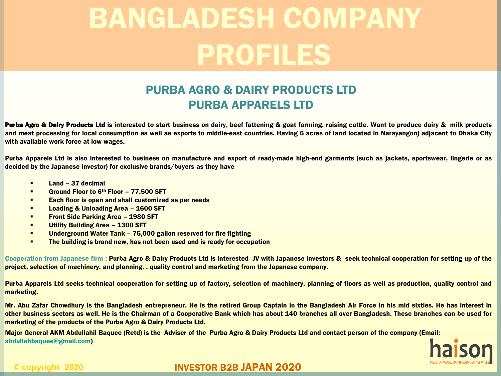# PURBA AGRO & DAIRY PRODUCTS LTD PURBA APPARELS LTD

Purba Agro & Dalry Products Ltd is interested to start business on dairy, beef fattening & goat farming, raising cattle. Want to produce dairy & milk products and meat processing for local consumption as well as exports to middle-east countries. Having 6 acres of land located in Narayangonj adjacent to Dhaka City with available work force at low wages.

Purba Apparels Ltd is also interested to business on manufacture and export of ready-made high-end garments (such as jackets, sportswear, lingerie or as decided by the Japanese investor) for exclusive brands/buyers as they have

- $\blacksquare$  Land 37 decimal
- Ground Floor to 6<sup>th</sup> Floor 77,500 SFT
- **Each floor is open and shall customized as per needs**
- **Loading & Unloading Area 1600 SFT**
- **Front Side Parking Area 1980 SFT**
- **Utility Building Area 1300 SFT**
- **Underground Water Tank 75,000 gallon reserved for fire fighting**
- **The building is brand new, has not been used and is ready for occupation**

Cooperation from Japanese firm : Purba Agro & Dairy Products Ltd is interested JV with Japanese investors & seek technical cooperation for setting up of the project, selection of machinery, and planning. , quality control and marketing from the Japanese company.

Purba Apparels Ltd seeks technical cooperation for setting up of factory, selection of machinery, planning of floors as well as production, quality control and marketing.

Mr. Abu Zafar Chowdhury is the Bangladesh entrepreneur. He is the retired Group Captain in the Bangladesh Air Force in his mid sixties. He has interest in other business sectors as well. He is the Chairman of a Cooperative Bank which has about 140 branches all over Bangladesh. These branches can be used for marketing of the products of the Purba Agro & Dairy Products Ltd.

Major General AKM Abdullahil Baquee (Retd) is the Adviser of the Purba Agro & Dairy Products Ltd and contact person of the company (Email: [abdullahbaquee@gmail.com](mailto:abdullahbaquee@gmail.com))

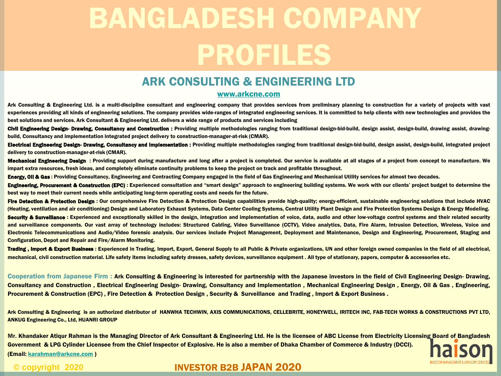## ARK CONSULTING & ENGINEERING LTD

#### [www.arkcne.com](http://www.arkcne.com/)

Ark Consulting & Engineering Ltd. is a multi-discipline consultant and engineering company that provides services from preliminary planning to construction for a variety of projects with vast experiences providing all kinds of engineering solutions. The company provides wide-ranges of integrated engineering services. It is committed to help clients with new technologies and provides the best solutions and services. Ark Consultant & Engineering Ltd. delivers a wide range of products and services including

Civil Engineering Design- Drawing, Consultancy and Construction : Providing multiple methodologies ranging from traditional design-bid-build, design assist, design-build, drawing assist, drawingbuild, Consultancy and implementation integrated project delivery to construction-manager-at-risk (CMAR).

Electrical Engineering Design- Drawing, Consultancy and Implementation : Providing multiple methodologies ranging from traditional design-bid-build, design assist, design-build, integrated project delivery to construction-manager-at-risk (CMAR).

Mechanical Engineering Design: Providing support during manufacture and long after a project is completed. Our service is available at all stages of a project from concept to manufacture. We impart extra resources, fresh ideas, and completely eliminate continuity problems to keep the project on track and profitable throughout.

Energy, Oll & Gas: Providing Consultancy, Engineering and Contracting Company engaged in the field of Gas Engineering and Mechanical Utility services for almost two decades.

Engineering, Procurement & Construction (EPC): Experienced consultation and "smart design" approach to engineering building systems. We work with our clients' project budget to determine the best way to meet their current needs while anticipating long-term operating costs and needs for the future.

Fire Detection & Protection Design : Our comprehensive Fire Detection & Protection Design capabilities provide high-quality; energy-efficient, sustainable engineering solutions that include HVAC (Heating, ventilation and air conditioning) Design and Laboratory Exhaust Systems, Data Center Cooling Systems, Central Utility Plant Design and Fire Protection Systems Design & Energy Modeling. Security & Survelliance : Experienced and exceptionally skilled in the design, integration and implementation of voice, data, audio and other low-voltage control systems and their related security and surveillance components. Our vast array of technology includes: Structured Cabling, Video Surveillance (CCTV), Video analytics, Data, Fire Alarm, Intrusion Detection, Wireless, Voice and Electronic Telecommunications and Audio/Video forensic analysis. Our services include Project Management, Deployment and Maintenance, Design and Engineering, Procurement, Staging and Configuration, Depot and Repair and Fire/Alarm Monitoring.

Trading, Import & Export Business : Experienced in Trading, Import, Export, General Supply to all Public & Private organizations, UN and other foreign owned companies in the field of all electrical, mechanical, civil construction material. Life safety items including safety dresses, safety devices, surveillance equipment . All type of stationary, papers, computer & accessories etc.

Cooperation from Japanese Firm : Ark Consulting & Engineering is interested for partnership with the Japanese investors in the field of Civil Engineering Design- Drawing, Consultancy and Construction , Electrical Engineering Design- Drawing, Consultancy and Implementation , Mechanical Engineering Design , Energy, Oil & Gas , Engineering, Procurement & Construction (EPC), Fire Detection & Protection Design, Security & Surveillance and Trading, Import & Export Business.

Ark Consulting & Engineering is an authorized distributor of HANWHA TECHWIN, AXIS COMMUNICATIONS, CELLEBRITE, HONEYWELL, IRITECH INC, FAB-TECH WORKS & CONSTRUCTIONS PVT LTD, ANKUG Engineering Co., Ltd, HUANRI GROUP

Mr. Khandaker Atiqur Rahman is the Managing Director of Ark Consultant & Engineering Ltd. He is the licensee of ABC License from Electricity Licensing Board of Bangladesh Government & LPG Cylinder Licensee from the Chief Inspector of Explosive. He is also a member of Dhaka Chamber of Commerce & Industry (DCCI). (Email: [karahman@arkcne.com](mailto:karahman@arkcne.com) )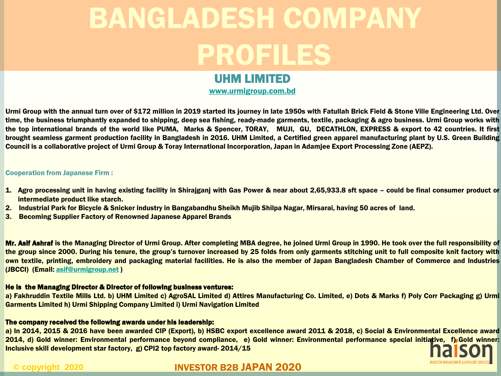## UHM LIMITED

[www.urmigroup.com.bd](http://www.urmigroup.com.bd/)

Urmi Group with the annual turn over of \$172 million in 2019 started its journey in late 1950s with Fatullah Brick Field & Stone Ville Engineering Ltd. Over time, the business triumphantly expanded to shipping, deep sea fishing, ready-made garments, textile, packaging & agro business. Urmi Group works with the top international brands of the world like PUMA, Marks & Spencer, TORAY, MUJI, GU, DECATHLON, EXPRESS & export to 42 countries. It first brought seamless garment production facility in Bangladesh in 2016. UHM Limited, a Certified green apparel manufacturing plant by U.S. Green Building Council is a collaborative project of Urmi Group & Toray International Incorporation, Japan in Adamjee Export Processing Zone (AEPZ).

#### Cooperation from Japanese Firm :

- 1. Agro processing unit in having existing facility in Shirajganj with Gas Power & near about 2,65,933.8 sft space could be final consumer product or intermediate product like starch.
- 2. Industrial Park for Bicycle & Snicker industry in Bangabandhu Sheikh Mujib Shilpa Nagar, Mirsarai, having 50 acres of land.
- 3. Becoming Supplier Factory of Renowned Japanese Apparel Brands

Mr. Asif Ashraf is the Managing Director of Urmi Group. After completing MBA degree, he joined Urmi Group in 1990. He took over the full responsibility of the group since 2000. During his tenure, the group's turnover increased by 25 folds from only garments stitching unit to full composite knit factory with own textile, printing, embroidery and packaging material facilities. He is also the member of Japan Bangladesh Chamber of Commerce and Industries (JBCCI) (Email: [asif@urmigroup.net](mailto:asif@urmigroup.net) )

#### He is the Managing Director & Director of following business ventures:

a) Fakhruddin Textile Mills Ltd. b) UHM Limited c) AgroSAL Limited d) Attires Manufacturing Co. Limited, e) Dots & Marks f) Poly Corr Packaging g) Urmi Garments Limited h) Urmi Shipping Company Limited i) Urmi Navigation Limited

#### The company received the following awards under his leadership:

a) In 2014, 2015 & 2016 have been awarded CIP (Export), b) HSBC export excellence award 2011 & 2018, c) Social & Environmental Excellence award 2014, d) Gold winner: Environmental performance beyond compliance, e) Gold winner: Environmental performance special initiative, f) Gold winner: Inclusive skill development star factory, g) CPI2 top factory award- 2014/15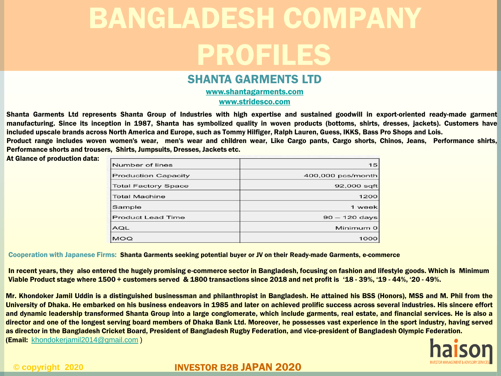### SHANTA GARMENTS LTD

[www.shantagarments.com](http://www.shantagarments.com/) [www.stridesco.com](http://www.stridesco.com/)

Shanta Garments Ltd represents Shanta Group of Industries with high expertise and sustained goodwill in export-oriented ready-made garment manufacturing. Since its inception in 1987, Shanta has symbolized quality in woven products (bottoms, shirts, dresses, jackets). Customers have included upscale brands across North America and Europe, such as Tommy Hilfiger, Ralph Lauren, Guess, IKKS, Bass Pro Shops and Lois. Product range includes woven women's wear, men's wear and children wear, Like Cargo pants, Cargo shorts, Chinos, Jeans, Performance shirts,

Performance shorts and trousers, Shirts, Jumpsuits, Dresses, Jackets etc.

At Glance of production data:

| Number of lines            | 15                |
|----------------------------|-------------------|
| <b>Production Capacity</b> | 400,000 pcs/month |
| <b>Total Factory Space</b> | 92,000 sqft       |
| <b>Total Machine</b>       | 1200              |
| Sample                     | 1 week            |
| <b>Product Lead Time</b>   | $90 - 120$ days   |
| <b>AQL</b>                 | Minimum 0         |
| <b>MOQ</b>                 | 1000              |

Cooperation with Japanese Firms: Shanta Garments seeking potential buyer or JV on their Ready-made Garments, e-commerce

In recent years, they also entered the hugely promising e-commerce sector in Bangladesh, focusing on fashion and lifestyle goods. Which is Minimum Viable Product stage where 1500 + customers served & 1800 transactions since 2018 and net profit is '18 - 39%, '19 - 44%, '20 - 49%.

Mr. Khondoker Jamil Uddin is a distinguished businessman and philanthropist in Bangladesh. He attained his BSS (Honors), MSS and M. Phil from the University of Dhaka. He embarked on his business endeavors in 1985 and later on achieved prolific success across several industries. His sincere effort and dynamic leadership transformed Shanta Group into a large conglomerate, which include garments, real estate, and financial services. He is also a director and one of the longest serving board members of Dhaka Bank Ltd. Moreover, he possesses vast experience in the sport industry, having served as director in the Bangladesh Cricket Board, President of Bangladesh Rugby Federation, and vice-president of Bangladesh Olympic Federation. (Email: [khondokerjamil2014@gmail.com](mailto:khondokerjamil2014@gmail.com) )

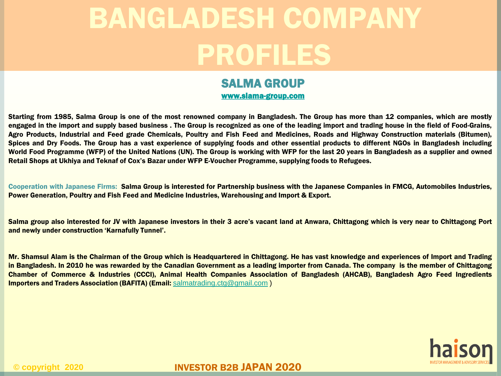### SALMA GROUP [www.slama-group.com](http://www.slama-group.com/)

Starting from 1985, Salma Group is one of the most renowned company in Bangladesh. The Group has more than 12 companies, which are mostly engaged in the import and supply based business . The Group is recognized as one of the leading import and trading house in the field of Food-Grains, Agro Products, Industrial and Feed grade Chemicals, Poultry and Fish Feed and Medicines, Roads and Highway Construction materials (Bitumen), Spices and Dry Foods. The Group has a vast experience of supplying foods and other essential products to different NGOs in Bangladesh including World Food Programme (WFP) of the United Nations (UN). The Group is working with WFP for the last 20 years in Bangladesh as a supplier and owned Retail Shops at Ukhiya and Teknaf of Cox's Bazar under WFP E-Voucher Programme, supplying foods to Refugees.

Cooperation with Japanese Firms: Salma Group is interested for Partnership business with the Japanese Companies in FMCG, Automobiles Industries, Power Generation, Poultry and Fish Feed and Medicine Industries, Warehousing and Import & Export.

Salma group also interested for JV with Japanese investors in their 3 acre's vacant land at Anwara, Chittagong which is very near to Chittagong Port and newly under construction 'Karnafully Tunnel'.

Mr. Shamsul Alam is the Chairman of the Group which is Headquartered in Chittagong. He has vast knowledge and experiences of Import and Trading in Bangladesh. In 2010 he was rewarded by the Canadian Government as a leading importer from Canada. The company is the member of Chittagong Chamber of Commerce & Industries (CCCI), Animal Health Companies Association of Bangladesh (AHCAB), Bangladesh Agro Feed Ingredients **Importers and Traders Association (BAFITA) (Email:** [salmatrading.ctg@gmail.com](mailto:salmatrading.ctg@gmail.com))

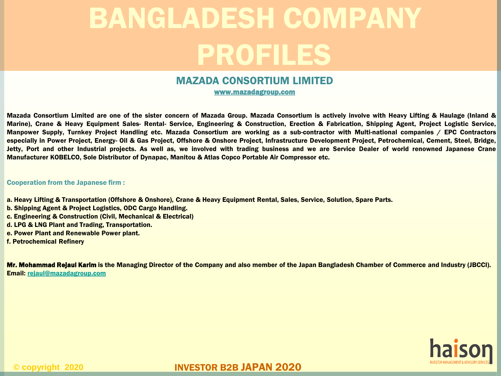### MAZADA CONSORTIUM LIMITED

www.mazadagroup.com

Mazada Consortium Limited are one of the sister concern of Mazada Group. Mazada Consortium is actively involve with Heavy Lifting & Haulage (Inland & Marine), Crane & Heavy Equipment Sales- Rental- Service, Engineering & Construction, Erection & Fabrication, Shipping Agent, Project Logistic Service, Manpower Supply, Turnkey Project Handling etc. Mazada Consortium are working as a sub-contractor with Multi-national companies / EPC Contractors especially in Power Project, Energy- Oil & Gas Project, Offshore & Onshore Project, Infrastructure Development Project, Petrochemical, Cement, Steel, Bridge, Jetty, Port and other Industrial projects. As well as, we involved with trading business and we are Service Dealer of world renowned Japanese Crane Manufacturer KOBELCO, Sole Distributor of Dynapac, Manitou & Atlas Copco Portable Air Compressor etc.

#### Cooperation from the Japanese firm :

- a. Heavy Lifting & Transportation (Offshore & Onshore), Crane & Heavy Equipment Rental, Sales, Service, Solution, Spare Parts.
- b. Shipping Agent & Project Logistics, ODC Cargo Handling.
- c. Engineering & Construction (Civil, Mechanical & Electrical)
- d. LPG & LNG Plant and Trading, Transportation.
- e. Power Plant and Renewable Power plant.
- f. Petrochemical Refinery

Mr. Mohammad Rejaul Karim is the Managing Director of the Company and also member of the Japan Bangladesh Chamber of Commerce and Industry (JBCCI). Email: [rejaul@mazadagroup.com](mailto:rejaul@mazadagroup.com)

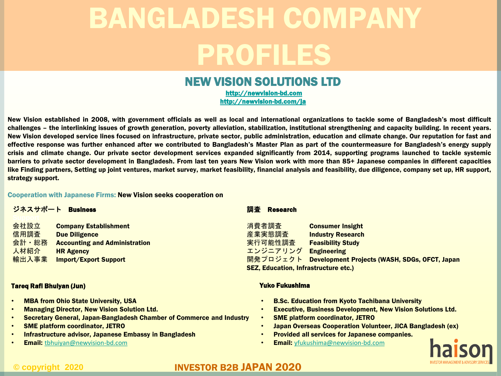## NEW VISION SOLUTIONS LTD

[http://newvision-bd.com](http://newvision-bd.com/) <http://newvision-bd.com/ja>

New Vision established in 2008, with government officials as well as local and international organizations to tackle some of Bangladesh's most difficult challenges – the interlinking issues of growth generation, poverty alleviation, stabilization, institutional strengthening and capacity building. In recent years. New Vision developed service lines focused on infrastructure, private sector, public administration, education and climate change. Our reputation for fast and effective response was further enhanced after we contributed to Bangladesh's Master Plan as part of the countermeasure for Bangladesh's energy supply crisis and climate change. Our private sector development services expanded significantly from 2014, supporting programs launched to tackle systemic barriers to private sector development in Bangladesh. From last ten years New Vision work with more than 85+ Japanese companies in different capacities like Finding partners, Setting up joint ventures, market survey, market feasibility, financial analysis and feasibility, due diligence, company set up, HR support, strategy support.

#### Cooperation with Japanese Firms: New Vision seeks cooperation on

| 会社設立<br><b>Company Establishment</b><br>信用調査<br><b>Due Diligence</b><br>会計・総務<br><b>Accounting and Administration</b><br>人材紹介<br><b>HR Agency</b><br>輸出入事業<br><b>Import/Export Support</b> | 消費者調査<br><b>Consumer Insight</b><br>産業実態調査<br><b>Industry Research</b><br>実行可能性調査<br><b>Feasibility Study</b><br>エンジニアリング<br><b>Engineering</b><br>開発プロジェクト<br>Development Projects (WASH, SDGs, OFCT, Japan<br><b>SEZ, Education, Infrastructure etc.)</b> |
|--------------------------------------------------------------------------------------------------------------------------------------------------------------------------------------------|-------------------------------------------------------------------------------------------------------------------------------------------------------------------------------------------------------------------------------------------------------------|

#### Tareq Rafi Bhuiyan (Jun)

- **MBA from Ohio State University, USA**
- Managing Director, New Vision Solution Ltd.
- Secretary General, Japan-Bangladesh Chamber of Commerce and Industry
- SME platform coordinator, JETRO
- Infrastructure advisor, Japanese Embassy in Bangladesh
- **Email:** [tbhuiyan@newvision-bd.com](mailto:tbhuiyan@newvision-bd.com)

#### Yuko Fukushima

- B.Sc. Education from Kyoto Tachibana University
- Executive, Business Development, New Vision Solutions Ltd.
- SME platform coordinator, JETRO
- Japan Overseas Cooperation Volunteer, JICA Bangladesh (ex)
- Provided all services for Japanese companies.
- **Email:** [yfukushima@newvision-bd.com](mailto:yfukushima@newvision-bd.com)

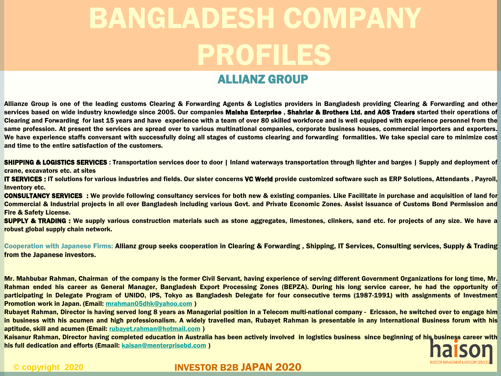# ALLIANZ GROUP

Allianze Group is one of the leading customs Clearing & Forwarding Agents & Logistics providers in Bangladesh providing Clearing & Forwarding and other services based on wide industry knowledge since 2005. Our companies Malsha Enterprise, Shahrlar & Brothers Ltd. and AOS Traders started their operations of Clearing and Forwarding for last 15 years and have experience with a team of over 80 skilled workforce and is well equipped with experience personnel from the same profession. At present the services are spread over to various multinational companies, corporate business houses, commercial importers and exporters. We have experience staffs conversant with successfully doing all stages of customs clearing and forwarding formalities. We take special care to minimize cost and time to the entire satisfaction of the customers.

**SHIPPING & LOGISTICS SERVICES**: Transportation services door to door | Inland waterways transportation through lighter and barges | Supply and deployment of crane, excavators etc. at sites

IT SERVICES : IT solutions for various industries and fields. Our sister concerns VC World provide customized software such as ERP Solutions, Attendants , Payroll, Inventory etc.

CONSULTANCY SERVICES : We provide following consultancy services for both new & existing companies. Like Facilitate in purchase and acquisition of land for Commercial & Industrial projects in all over Bangladesh including various Govt. and Private Economic Zones. Assist issuance of Customs Bond Permission and Fire & Safety License.

SUPPLY & TRADING : We supply various construction materials such as stone aggregates, limestones, clinkers, sand etc. for projects of any size. We have a robust global supply chain network.

Cooperation with Japanese Firms: Allianz group seeks cooperation in Clearing & Forwarding, Shipping, IT Services, Consulting services, Supply & Trading from the Japanese investors.

Mr. Mahbubar Rahman, Chairman of the company is the former Civil Servant, having experience of serving different Government Organizations for long time, Mr. Rahman ended his career as General Manager, Bangladesh Export Processing Zones (BEPZA). During his long service career, he had the opportunity of participating in Delegate Program of UNIDO, IPS, Tokyo as Bangladesh Delegate for four consecutive terms (1987-1991) with assignments of Investment Promotion work in Japan. (Email: [mrahman05dhk@yahoo.com](mailto:mrahman05dhk@yahoo.com) )

Rubayet Rahman, Director is having served long 8 years as Managerial position in a Telecom multi-national company - Ericsson, he switched over to engage him in business with his acumen and high professionalism. A widely travelled man, Rubayet Rahman is presentable in any International Business forum with his aptitude, skill and acumen (Email: [rubayet.rahman@hotmail.com](mailto:rubayet.rahman@Hotmail.com) )

Kaisanur Rahman, Director having completed education in Australia has been actively involved in logistics business since beginning of his business career with his full dedication and efforts (Emaail: [kaisan@menterprisebd.com](mailto:kaisan@menterprisebd.com))

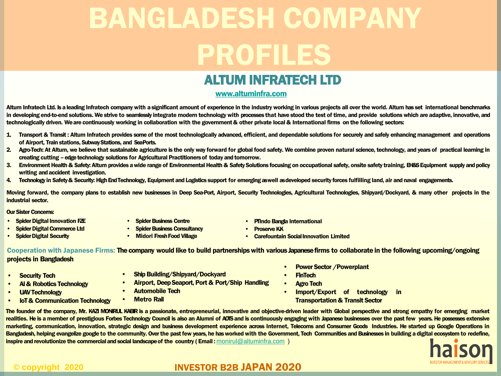# ALTUM INFRATECH LTD

### [www.altuminfra.com](http://www.altuminfra.com/)

Altum Infratech Ltd. Is aleading Infratech company with asignificant amount of experience in the industry working in various projects all over the world. Altum has set international benchmarks in developing end-to-end solutions. We strive to seamlessly integrate modern technology with processes that have stood the test of time, and provide solutions which are adaptive, innovative, and technologically driven. We are continuously working in collaboration with the government & other private local & International firms on the following sectors:

- 1. Transport & Transit : Altum Infratech provides some of the most technologically advanced, efficient, and dependable solutions for securely and safely enhancing management and operations of Airport, Train stations, SubwayStations, and SeaPorts.
- 2. Agro-Tech: At Altum, we believe that sustainable agriculture is the only way forward for global food safety. We combine proven natural science, technology, and years of practical learning in creating cutting –edgetechnology solutions for Agricultural Practitionersof today andtomorrow.
- 3. Environment Health & Safety: Altum provides a wide range of Environmental Health & Safety Solutions focusing on occupational safety, onsite safety training, EH&S Equipment supply and policy writing and accident investigation.
- 4. Technology in Safety & Security: High End Technology, Equipment and Logistics support for emerging aswell asdeveloped security forces fulfilling land, air and naval engagements.

Moving forward, the company plans to establish new businesses in Deep Sea-Port, Airport, Security Technologies, Agricultural Technologies, Shipyard/Dockyard, & many other projects in the industrial sector.

OurSister Concerns:

- **Spider Digital Innovation FZE**
- Spider Digital Commerce Ltd
- Spider Digital Security
- Spider Business Centre
- Spider Business Consultancy
- Midori Fresh Food Village
- **PTIndo Bangla International**
- **Proserve KK**
- Carefountain Social Innovation Limited

Cooperation with Japanese Firms: The company would like to build partnerships with various Japanese firms to collaborate in the following upcoming/ongoing projects in Bangladesh

- **Security Tech**
- AI & Robotics Technology
- **UAV Technology**
- IoT & Communication Technology
- **Ship Building/Shipyard/Dockyard**
- Airport, Deep Seaport, Port & Port/Ship Handling
- Automobile Tech
- **Metro Rail**
- Power Sector /Powerplant
- **FinTech**
- **Agro Tech**
- Import/Export of technology in Transportation & Transit Sector

The founder of the company, Mr. KAZI MONIRUL KABIR is a passionate, entrepreneurial, innovative and objective-driven leader with Global perspective and strong empathy for emerging market realities. He is a member of prestigious Forbes Technology Council is also an Alumni of AOTS and is continuously engaging with Japanese businesses over the past few years. He possesses extensive marketing, communication, innovation, strategic design and business development experience across Internet, Telecoms and Consumer Goods Industries. He started up Google Operations in Bangladesh, helping evangelize google to the community. Over the past few years, he has worked with the Government, Tech Communities and Businesses in building a digital ecosystem to redefine, inspire and revolutionize the commercial and social landscape of the country (Email: [monirul@altuminfra.com](mailto:monirul@altuminfra.com))

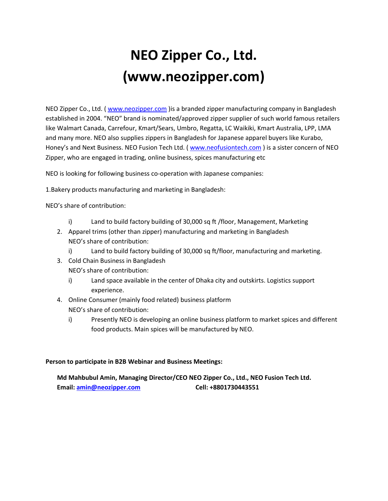# **NEO Zipper Co., Ltd. (www.neozipper.com)**

NEO Zipper Co., Ltd. ( [www.neozipper.com](http://www.neozipper.com/) )is a branded zipper manufacturing company in Bangladesh established in 2004. "NEO" brand is nominated/approved zipper supplier of such world famous retailers like Walmart Canada, Carrefour, Kmart/Sears, Umbro, Regatta, LC Waikiki, Kmart Australia, LPP, LMA and many more. NEO also supplies zippers in Bangladesh for Japanese apparel buyers like Kurabo, Honey's and Next Business. NEO Fusion Tech Ltd. ( [www.neofusiontech.com](http://www.neofusiontech.com/) ) is a sister concern of NEO Zipper, who are engaged in trading, online business, spices manufacturing etc

NEO is looking for following business co-operation with Japanese companies:

1.Bakery products manufacturing and marketing in Bangladesh:

NEO's share of contribution:

- i) Land to build factory building of 30,000 sq ft /floor, Management, Marketing
- 2. Apparel trims (other than zipper) manufacturing and marketing in Bangladesh NEO's share of contribution:
	- i) Land to build factory building of 30,000 sq ft/floor, manufacturing and marketing.
- 3. Cold Chain Business in Bangladesh NEO's share of contribution:
	- i) Land space available in the center of Dhaka city and outskirts. Logistics support experience.
- 4. Online Consumer (mainly food related) business platform NEO's share of contribution:
	- i) Presently NEO is developing an online business platform to market spices and different food products. Main spices will be manufactured by NEO.

### **Person to participate in B2B Webinar and Business Meetings:**

### **Md Mahbubul Amin, Managing Director/CEO NEO Zipper Co., Ltd., NEO Fusion Tech Ltd. Email[: amin@neozipper.com](mailto:amin@neozipper.com) Cell: +8801730443551**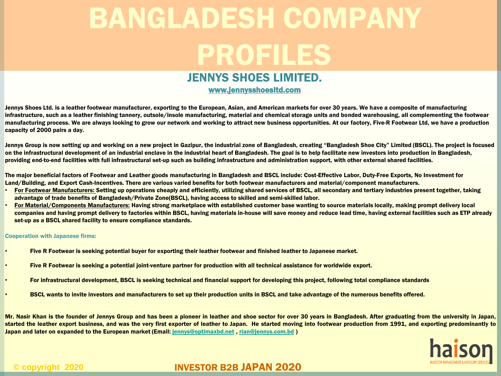## JENNYS SHOES LIMITED.

### www.jennysshoesltd.com

Jennys Shoes Ltd. is a leather footwear manufacturer, exporting to the European, Asian, and American markets for over 30 years. We have a composite of manufacturing infrastructure, such as a leather finishing tannery, outsole/insole manufacturing, material and chemical storage units and bonded warehousing, all complementing the footwear manufacturing process. We are always looking to grow our network and working to attract new business opportunities. At our factory, Five-R Footwear Ltd, we have a production capacity of 2000 pairs a day.

Jennys Group is now setting up and working on a new project in Gazipur, the industrial zone of Bangladesh, creating "Bangladesh Shoe City" Limited (BSCL). The project is focused on the infrastructural development of an industrial enclave in the industrial heart of Bangladesh. The goal is to help facilitate new investors into production in Bangladesh, providing end-to-end facilities with full infrastructural set-up such as building infrastructure and administration support, with other external shared facilities.

The major beneficial factors of Footwear and Leather goods manufacturing in Bangladesh and BSCL include: Cost-Effective Labor, Duty-Free Exports, No Investment for Land/Building, and Export Cash-Incentives. There are various varied benefits for both footwear manufacturers and material/component manufacturers.

- For Footwear Manufacturers: Setting up operations cheaply and efficiently, utilizing shared services of BSCL, all secondary and tertiary industries present together, taking advantage of trade benefits of Bangladesh/Private Zone(BSCL), having access to skilled and semi-skilled labor.
- For Material/Components Manufacturers: Having strong marketplace with established customer base wanting to source materials locally, making prompt delivery local companies and having prompt delivery to factories within BSCL, having materials in-house will save money and reduce lead time, having external facilities such as ETP already set-up as a BSCL shared facility to ensure compliance standards.

#### Cooperation with Japanese firms:

- Five R Footwear is seeking potential buyer for exporting their leather footwear and finished leather to Japanese market.
- Five R Footwear is seeking a potential joint-venture partner for production with all technical assistance for worldwide export.
- For infrastructural development, BSCL is seeking technical and financial support for developing this project, following total compliance standards
- BSCL wants to invite investors and manufacturers to set up their production units in BSCL and take advantage of the numerous benefits offered.

Mr. Nasir Khan is the founder of Jennys Group and has been a pioneer in leather and shoe sector for over 30 years in Bangladesh. After graduating from the university in Japan, started the leather export business, and was the very first exporter of leather to Japan. He started moving into footwear production from 1991, and exporting predominantly to Japan and later on expanded to the European market (Email: [jennys@optimaxbd.net](mailto:jennys@optimaxbd.net), [rian@jennys.com.bd](mailto:rian@jennys.com.bd))

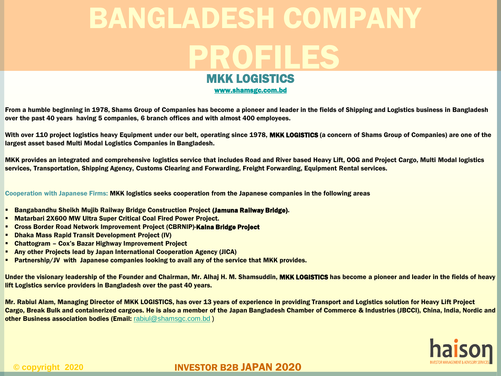# MKK LOGISTICS BANGLADESH COMPANY PROFILES

[www.shamsgc.com.bd](http://www.shamsgc.com.bd/)

From a humble beginning in 1978, Shams Group of Companies has become a pioneer and leader in the fields of Shipping and Logistics business in Bangladesh over the past 40 years having 5 companies, 6 branch offices and with almost 400 employees.

With over 110 project logistics heavy Equipment under our belt, operating since 1978, MKK LOGISTICS (a concern of Shams Group of Companies) are one of the largest asset based Multi Modal Logistics Companies in Bangladesh.

MKK provides an integrated and comprehensive logistics service that includes Road and River based Heavy Lift, OOG and Project Cargo, Multi Modal logistics services, Transportation, Shipping Agency, Customs Clearing and Forwarding, Freight Forwarding, Equipment Rental services.

Cooperation with Japanese Firms: MKK logistics seeks cooperation from the Japanese companies in the following areas

- Bangabandhu Sheikh Mujib Railway Bridge Construction Project (Jamuna Railway Bridge).
- Matarbari 2X600 MW Ultra Super Critical Coal Fired Power Project.
- Cross Border Road Network Improvement Project (CBRNIP)-Kalna Bridge Project
- Dhaka Mass Rapid Transit Development Project (IV)
- Chattogram Cox's Bazar Highway Improvement Project
- Any other Projects lead by Japan International Cooperation Agency (JICA)
- Partnership/JV with Japanese companies looking to avail any of the service that MKK provides.

Under the visionary leadership of the Founder and Chairman, Mr. Alhaj H. M. Shamsuddin, MKK LOGISTICS has become a pioneer and leader in the fields of heavy lift Logistics service providers in Bangladesh over the past 40 years.

Mr. Rabiul Alam, Managing Director of MKK LOGISTICS, has over 13 years of experience in providing Transport and Logistics solution for Heavy Lift Project Cargo, Break Bulk and containerized cargoes. He is also a member of the Japan Bangladesh Chamber of Commerce & Industries (JBCCI), China, India, Nordic and other Business association bodies (Email: [rabiul@shamsgc.com.bd](mailto:rabiul@shamsgc.com.bd))

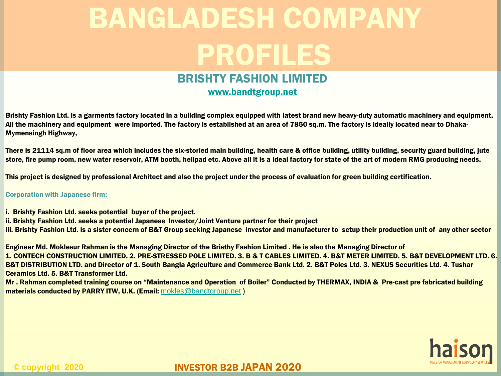## BRISHTY FASHION LIMITED

[www.bandtgroup.net](http://www.bandtgroup.net/)

Brishty Fashion Ltd. is a garments factory located in a building complex equipped with latest brand new heavy-duty automatic machinery and equipment. All the machinery and equipment were imported. The factory is established at an area of 7850 sq.m. The factory is ideally located near to Dhaka-Mymensingh Highway,

There is 21114 sq.m of floor area which includes the six-storied main building, health care & office building, utility building, security guard building, jute store, fire pump room, new water reservoir, ATM booth, helipad etc. Above all it is a ideal factory for state of the art of modern RMG producing needs.

This project is designed by professional Architect and also the project under the process of evaluation for green building certification.

#### Corporation with Japanese firm:

- i. Brishty Fashion Ltd. seeks potential buyer of the project.
- ii. Brishty Fashion Ltd. seeks a potential Japanese Investor/Joint Venture partner for their project

iii. Brishty Fashion Ltd. is a sister concern of B&T Group seeking Japanese investor and manufacturer to setup their production unit of any other sector

Engineer Md. Moklesur Rahman is the Managing Director of the Bristhy Fashion Limited . He is also the Managing Director of 1. CONTECH CONSTRUCTION LIMITED. 2. PRE-STRESSED POLE LIMITED. 3. B & T CABLES LIMITED. 4. B&T METER LIMITED. 5. B&T DEVELOPMENT LTD. 6. B&T DISTRIBUTION LTD. and Director of 1. South Bangla Agriculture and Commerce Bank Ltd. 2. B&T Poles Ltd. 3. NEXUS Securities Ltd. 4. Tushar Ceramics Ltd. 5. B&T Transformer Ltd.

Mr . Rahman completed training course on "Maintenance and Operation of Boiler" Conducted by THERMAX, INDIA & Pre-cast pre fabricated building materials conducted by PARRY ITW, U.K. (Email: [mokles@bandtgroup.net](mailto:mokles@bandtgroup.net))

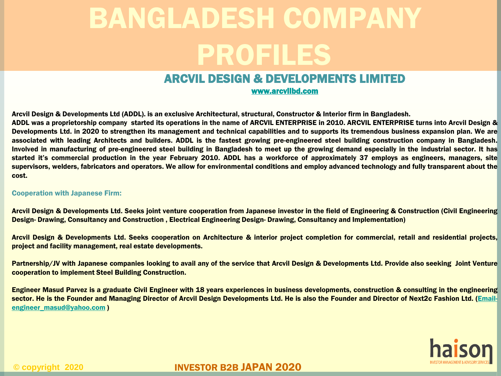# ARCVIL DESIGN & DEVELOPMENTS LIMITED

[www.arcvilbd.com](http://www.arcvilbd.com/)

Arcvil Design & Developments Ltd (ADDL). is an exclusive Architectural, structural, Constructor & Interior firm in Bangladesh. ADDL was a proprietorship company started its operations in the name of ARCVIL ENTERPRISE in 2010. ARCVIL ENTERPRISE turns into Arcvil Design & Developments Ltd. in 2020 to strengthen its management and technical capabilities and to supports its tremendous business expansion plan. We are associated with leading Architects and builders. ADDL is the fastest growing pre-engineered steel building construction company in Bangladesh. Involved in manufacturing of pre-engineered steel building in Bangladesh to meet up the growing demand especially in the industrial sector. It has started it's commercial production in the year February 2010. ADDL has a workforce of approximately 37 employs as engineers, managers, site supervisors, welders, fabricators and operators. We allow for environmental conditions and employ advanced technology and fully transparent about the

#### Cooperation with Japanese Firm:

cost.

Arcvil Design & Developments Ltd. Seeks joint venture cooperation from Japanese investor in the field of Engineering & Construction (Civil Engineering Design- Drawing, Consultancy and Construction , Electrical Engineering Design- Drawing, Consultancy and Implementation)

Arcvil Design & Developments Ltd. Seeks cooperation on Architecture & interior project completion for commercial, retail and residential projects, project and facility management, real estate developments.

Partnership/JV with Japanese companies looking to avail any of the service that Arcvil Design & Developments Ltd. Provide also seeking Joint Venture cooperation to implement Steel Building Construction.

Engineer Masud Parvez is a graduate Civil Engineer with 18 years experiences in business developments, construction & consulting in the engineering sector. He is the Founder and Managing Director of Arcvil Design Developments Ltd. He is also the Founder and Director of Next2c Fashion Ltd. (Email[engineer\\_masud@yahoo.com](mailto:Email-engineer_masud@yahoo.com) )

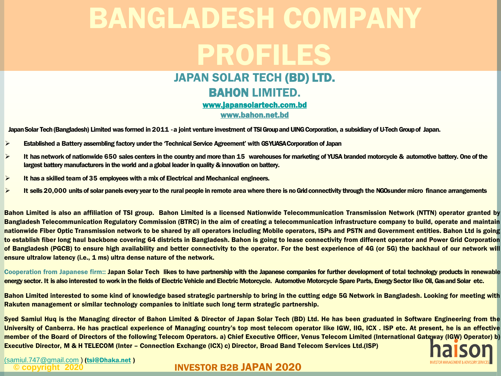### JAPAN SOLAR TECH (BD) LTD. BAHON LIMITED. [www.japansolartech.com.bd](http://www.japansolartech.com.bd/) www.bahon.net.bd

Japan Solar Tech (Bangladesh) Limited was formed in 2011 - a joint venture investment of TSI Group and UING Corporation, a subsidiary of U-Tech Group of Japan.

- $\triangleright$  Established a Battery assembling factory under the 'Technical Service Agreement' with GS YUASA Corporation of Japan
- $\triangleright$  It has network of nationwide 650 sales centers in the country and more than 15 warehouses for marketing of YUSA branded motorcycle & automotive battery. One of the largest battery manufacturers in the world and a global leader in quality & innovation on battery.
- $\triangleright$  It has a skilled team of 35 employees with a mix of Electrical and Mechanical engineers.
- $\triangleright$  It sells 20,000 units of solar panels every year to the rural people in remote area where there is no Grid connectivity through the NGOs under micro finance arrangements

Bahon Limited is also an affiliation of TSI group. Bahon Limited is a licensed Nationwide Telecommunication Transmission Network (NTTN) operator granted by Bangladesh Telecommunication Regulatory Commission (BTRC) in the aim of creating a telecommunication infrastructure company to build, operate and maintain nationwide Fiber Optic Transmission network to be shared by all operators including Mobile operators, ISPs and PSTN and Government entities. Bahon Ltd is going to establish fiber long haul backbone covering 64 districts in Bangladesh. Bahon is going to lease connectivity from different operator and Power Grid Corporation of Bangladesh (PGCB) to ensure high availability and better connectivity to the operator. For the best experience of 4G (or 5G) the backhaul of our network will ensure ultralow latency (i.e., 1 ms) ultra dense nature of the network.

Cooperation from Japanese firm:: Japan Solar Tech likes to have partnership with the Japanese companies for further development of total technology products in renewable energy sector. It is also interested to work in the fields of Electric Vehicle and Electric Motorcycle. Automotive Motorcycle Spare Parts, Energy Sector like Oil, Gas and Solar etc.

Bahon Limited interested to some kind of knowledge based strategic partnership to bring in the cutting edge 5G Network in Bangladesh. Looking for meeting with Rakuten management or similar technology companies to initiate such long term strategic partnership.

Syed Samiul Huq is the Managing director of Bahon Limited & Director of Japan Solar Tech (BD) Ltd. He has been graduated in Software Engineering from the University of Canberra. He has practical experience of Managing country's top most telecom operator like IGW, IIG, ICX . ISP etc. At present, he is an effective member of the Board of Directors of the following Telecom Operators. a) Chief Executive Officer, Venus Telecom Limited (International Gateway (IGW) Operator) b) Executive Director, M & H TELECOM (Inter – Connection Exchange (ICX) c) Director, Broad Band Telecom Services Ltd.(ISP)



**© copyright 2020** INVESTOR B2B JAPAN 2020 [\(samiul.747@gmail.com](mailto:samiul.747@gmail.com)) ([tsi@Dhaka.net](mailto:tsi@Dhaka.net))